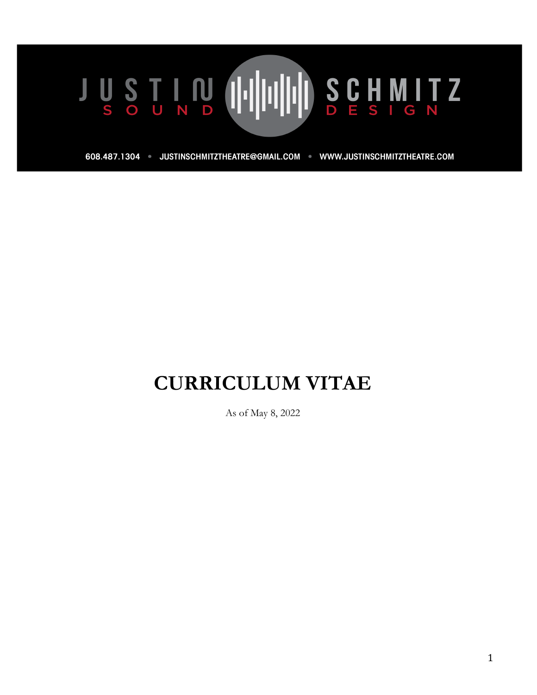608.487.1304 · JUSTINSCHMITZTHEATRE@GMAIL.COM · WWW.JUSTINSCHMITZTHEATRE.COM

# **CURRICULUM VITAE**

As of May 8, 2022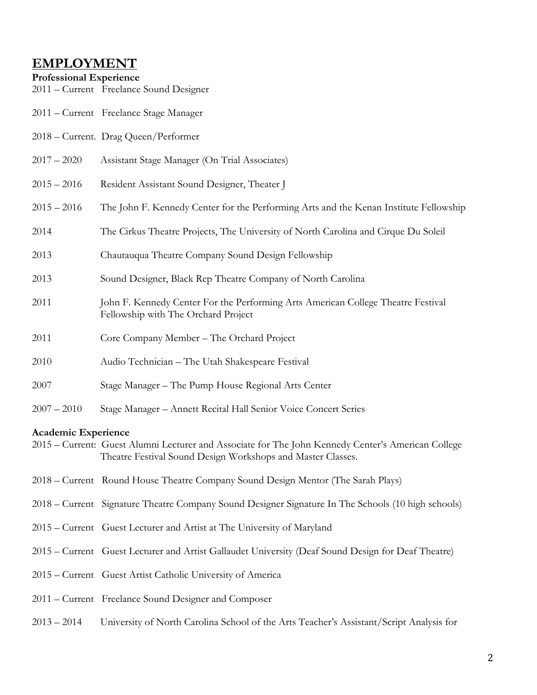# **EMPLOYMENT**

### **Professional Experience**

2011 – Current Freelance Sound Designer

- 2011 Current Freelance Stage Manager
- 2018 Current. Drag Queen/Performer
- 2017 2020 Assistant Stage Manager (On Trial Associates)
- 2015 2016 Resident Assistant Sound Designer, Theater J
- 2015 2016 The John F. Kennedy Center for the Performing Arts and the Kenan Institute Fellowship
- 2014 The Cirkus Theatre Projects, The University of North Carolina and Cirque Du Soleil
- 2013 Chautauqua Theatre Company Sound Design Fellowship
- 2013 Sound Designer, Black Rep Theatre Company of North Carolina
- 2011 John F. Kennedy Center For the Performing Arts American College Theatre Festival Fellowship with The Orchard Project
- 2011 Core Company Member The Orchard Project
- 2010 Audio Technician The Utah Shakespeare Festival
- 2007 Stage Manager The Pump House Regional Arts Center
- 2007 2010 Stage Manager Annett Recital Hall Senior Voice Concert Series

### **Academic Experience**

- 2015 Current: Guest Alumni Lecturer and Associate for The John Kennedy Center's American College Theatre Festival Sound Design Workshops and Master Classes.
- 2018 Current Round House Theatre Company Sound Design Mentor (The Sarah Plays)
- 2018 Current Signature Theatre Company Sound Designer Signature In The Schools (10 high schools)
- 2015 Current Guest Lecturer and Artist at The University of Maryland
- 2015 Current Guest Lecturer and Artist Gallaudet University (Deaf Sound Design for Deaf Theatre)
- 2015 Current Guest Artist Catholic University of America
- 2011 Current Freelance Sound Designer and Composer
- 2013 2014 University of North Carolina School of the Arts Teacher's Assistant/Script Analysis for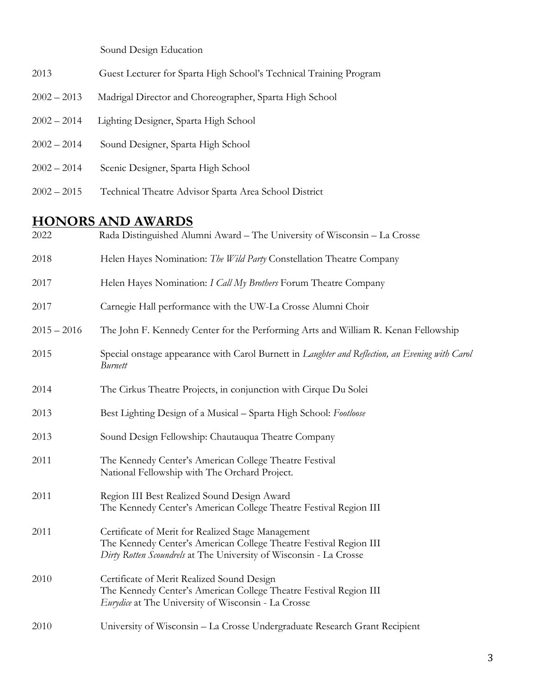Sound Design Education

- 2013 Guest Lecturer for Sparta High School's Technical Training Program
- 2002 2013 Madrigal Director and Choreographer, Sparta High School
- 2002 2014 Lighting Designer, Sparta High School
- 2002 2014 Sound Designer, Sparta High School
- 2002 2014 Scenic Designer, Sparta High School
- 2002 2015 Technical Theatre Advisor Sparta Area School District

# **HONORS AND AWARDS**

| 2022          | Rada Distinguished Alumni Award – The University of Wisconsin – La Crosse                                                                                                                     |
|---------------|-----------------------------------------------------------------------------------------------------------------------------------------------------------------------------------------------|
| 2018          | Helen Hayes Nomination: The Wild Party Constellation Theatre Company                                                                                                                          |
| 2017          | Helen Hayes Nomination: I Call My Brothers Forum Theatre Company                                                                                                                              |
| 2017          | Carnegie Hall performance with the UW-La Crosse Alumni Choir                                                                                                                                  |
| $2015 - 2016$ | The John F. Kennedy Center for the Performing Arts and William R. Kenan Fellowship                                                                                                            |
| 2015          | Special onstage appearance with Carol Burnett in Laughter and Reflection, an Evening with Carol<br><b>Burnett</b>                                                                             |
| 2014          | The Cirkus Theatre Projects, in conjunction with Cirque Du Solei                                                                                                                              |
| 2013          | Best Lighting Design of a Musical - Sparta High School: Footloose                                                                                                                             |
| 2013          | Sound Design Fellowship: Chautauqua Theatre Company                                                                                                                                           |
| 2011          | The Kennedy Center's American College Theatre Festival<br>National Fellowship with The Orchard Project.                                                                                       |
| 2011          | Region III Best Realized Sound Design Award<br>The Kennedy Center's American College Theatre Festival Region III                                                                              |
| 2011          | Certificate of Merit for Realized Stage Management<br>The Kennedy Center's American College Theatre Festival Region III<br>Dirty Rotten Scoundrels at The University of Wisconsin - La Crosse |
| 2010          | Certificate of Merit Realized Sound Design<br>The Kennedy Center's American College Theatre Festival Region III<br>Eurydice at The University of Wisconsin - La Crosse                        |
| 2010          | University of Wisconsin - La Crosse Undergraduate Research Grant Recipient                                                                                                                    |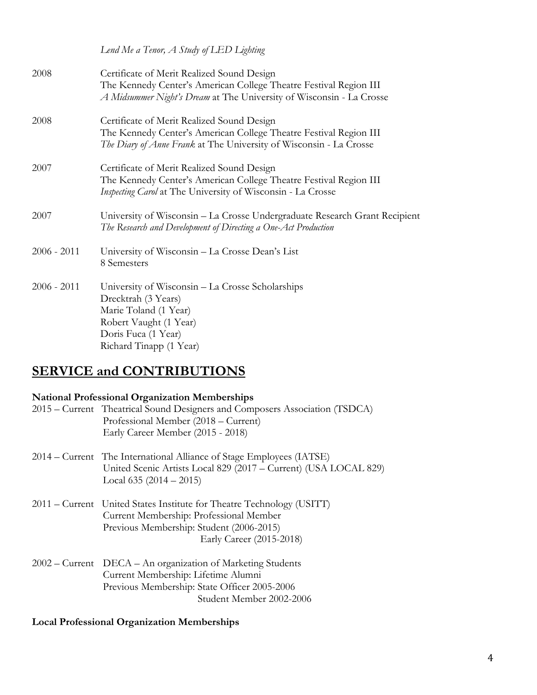*Lend Me a Tenor, A Study of LED Lighting*  2008 Certificate of Merit Realized Sound Design The Kennedy Center's American College Theatre Festival Region III  *A Midsummer Night's Dream* at The University of Wisconsin - La Crosse 2008 Certificate of Merit Realized Sound Design The Kennedy Center's American College Theatre Festival Region III  *The Diary of Anne Frank* at The University of Wisconsin - La Crosse 2007 Certificate of Merit Realized Sound Design The Kennedy Center's American College Theatre Festival Region III *Inspecting Carol* at The University of Wisconsin - La Crosse 2007 University of Wisconsin – La Crosse Undergraduate Research Grant Recipient *The Research and Development of Directing a One-Act Production* 2006 - 2011 University of Wisconsin – La Crosse Dean's List 8 Semesters 2006 - 2011 University of Wisconsin – La Crosse Scholarships Drecktrah (3 Years) Marie Toland (1 Year) Robert Vaught (1 Year) Doris Fuca (1 Year) Richard Tinapp (1 Year)

# **SERVICE and CONTRIBUTIONS**

### **National Professional Organization Memberships**

| 2015 – Current Theatrical Sound Designers and Composers Association (TSDCA) |
|-----------------------------------------------------------------------------|
| Professional Member (2018 – Current)                                        |
| Early Career Member (2015 - 2018)                                           |

- 2014 Current The International Alliance of Stage Employees (IATSE) United Scenic Artists Local 829 (2017 – Current) (USA LOCAL 829) Local 635 (2014 – 2015)
- 2011 Current United States Institute for Theatre Technology (USITT) Current Membership: Professional Member Previous Membership: Student (2006-2015) Early Career (2015-2018)
- 2002 Current DECA An organization of Marketing Students Current Membership: Lifetime Alumni Previous Membership: State Officer 2005-2006 Student Member 2002-2006

# **Local Professional Organization Memberships**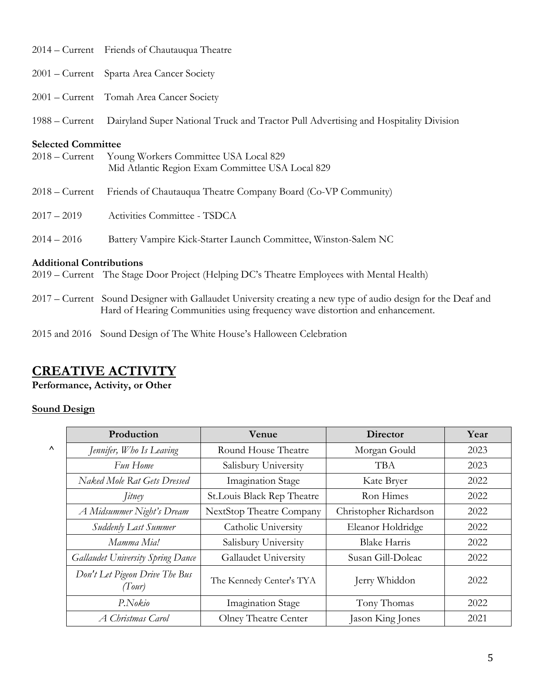|                                               | 2014 – Current Friends of Chautauqua Theatre                                                                                                                                                 |
|-----------------------------------------------|----------------------------------------------------------------------------------------------------------------------------------------------------------------------------------------------|
|                                               | 2001 – Current Sparta Area Cancer Society                                                                                                                                                    |
|                                               | 2001 - Current Tomah Area Cancer Society                                                                                                                                                     |
| $1988 -$ Current                              | Dairyland Super National Truck and Tractor Pull Advertising and Hospitality Division                                                                                                         |
| <b>Selected Committee</b><br>$2018 -$ Current | Young Workers Committee USA Local 829<br>Mid Atlantic Region Exam Committee USA Local 829                                                                                                    |
| $2018 -$ Current                              | Friends of Chautauqua Theatre Company Board (Co-VP Community)                                                                                                                                |
| $2017 - 2019$                                 | Activities Committee - TSDCA                                                                                                                                                                 |
| $2014 - 2016$                                 | Battery Vampire Kick-Starter Launch Committee, Winston-Salem NC                                                                                                                              |
| <b>Additional Contributions</b>               | 2019 – Current The Stage Door Project (Helping DC's Theatre Employees with Mental Health)                                                                                                    |
|                                               | 2017 – Current Sound Designer with Gallaudet University creating a new type of audio design for the Deaf and<br>Hard of Hearing Communities using frequency wave distortion and enhancement. |
|                                               |                                                                                                                                                                                              |

2015 and 2016 Sound Design of The White House's Halloween Celebration

# **CREATIVE ACTIVITY**

**Performance, Activity, or Other**

# **Sound Design**

|    | Production                               | <b>Venue</b>               | <b>Director</b>        | Year |
|----|------------------------------------------|----------------------------|------------------------|------|
| Λ. | Jennifer, Who Is Leaving                 | Round House Theatre        | Morgan Gould           | 2023 |
|    | Fun Home                                 | Salisbury University       | TBA                    | 2023 |
|    | Naked Mole Rat Gets Dressed              | <b>Imagination Stage</b>   | Kate Bryer             | 2022 |
|    | <i>Litney</i>                            | St.Louis Black Rep Theatre | Ron Himes              | 2022 |
|    | A Midsummer Night's Dream                | NextStop Theatre Company   | Christopher Richardson | 2022 |
|    | Suddenly Last Summer                     | Catholic University        | Eleanor Holdridge      | 2022 |
|    | Mamma Mia!                               | Salisbury University       | <b>Blake Harris</b>    | 2022 |
|    | <b>Gallaudet University Spring Dance</b> | Gallaudet University       | Susan Gill-Doleac      | 2022 |
|    | Don't Let Pigeon Drive The Bus<br>(Tour) | The Kennedy Center's TYA   | Jerry Whiddon          | 2022 |
|    | P.Nokio                                  | <b>Imagination Stage</b>   | Tony Thomas            | 2022 |
|    | A Christmas Carol                        | Olney Theatre Center       | Jason King Jones       | 2021 |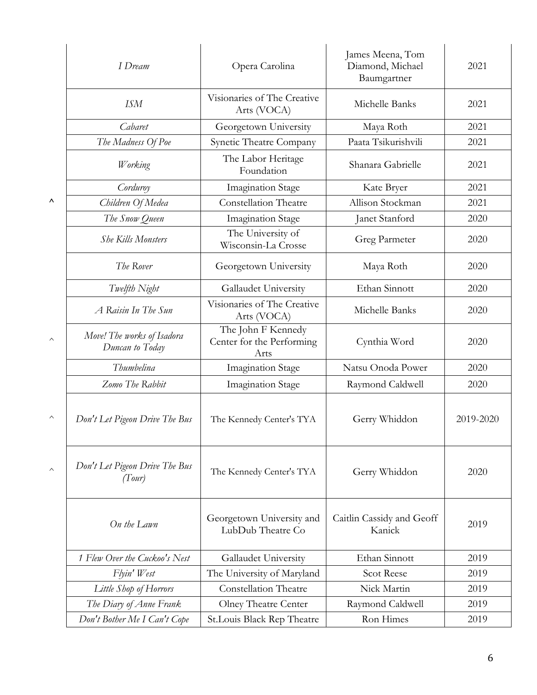|                       | I Dream                                       | Opera Carolina                                          | James Meena, Tom<br>Diamond, Michael<br>Baumgartner | 2021      |
|-----------------------|-----------------------------------------------|---------------------------------------------------------|-----------------------------------------------------|-----------|
|                       | <b>ISM</b>                                    | Visionaries of The Creative<br>Arts (VOCA)              | Michelle Banks                                      | 2021      |
|                       | Cabaret                                       | Georgetown University                                   | Maya Roth                                           | 2021      |
|                       | The Madness Of Poe                            | Synetic Theatre Company                                 | Paata Tsikurishvili                                 | 2021      |
|                       | Working                                       | The Labor Heritage<br>Foundation                        | Shanara Gabrielle                                   | 2021      |
|                       | Corduroy                                      | <b>Imagination Stage</b>                                | Kate Bryer                                          | 2021      |
| Λ                     | Children Of Medea                             | <b>Constellation Theatre</b>                            | Allison Stockman                                    | 2021      |
|                       | The Snow Queen                                | <b>Imagination Stage</b>                                | Janet Stanford                                      | 2020      |
|                       | <b>She Kills Monsters</b>                     | The University of<br>Wisconsin-La Crosse                | Greg Parmeter                                       | 2020      |
|                       | The Rover                                     | Georgetown University                                   | Maya Roth                                           | 2020      |
|                       | Twelfth Night                                 | Gallaudet University                                    | Ethan Sinnott                                       | 2020      |
|                       | A Raisin In The Sun                           | Visionaries of The Creative<br>Arts (VOCA)              | Michelle Banks                                      | 2020      |
| $\boldsymbol{\wedge}$ | Move! The works of Isadora<br>Duncan to Today | The John F Kennedy<br>Center for the Performing<br>Arts | Cynthia Word                                        | 2020      |
|                       | Thumbelina                                    | <b>Imagination Stage</b>                                | Natsu Onoda Power                                   | 2020      |
|                       | Zomo The Rabbit                               | <b>Imagination Stage</b>                                | Raymond Caldwell                                    | 2020      |
| $\boldsymbol{\wedge}$ | Don't Let Pigeon Drive The Bus                | The Kennedy Center's TYA                                | Gerry Whiddon                                       | 2019-2020 |
| $\wedge$              | Don't Let Pigeon Drive The Bus<br>(Tour)      | The Kennedy Center's TYA                                | Gerry Whiddon                                       | 2020      |
|                       | On the Lawn                                   | Georgetown University and<br>LubDub Theatre Co          | Caitlin Cassidy and Geoff<br>Kanick                 | 2019      |
|                       | 1 Flew Over the Cuckoo's Nest                 | Gallaudet University                                    | Ethan Sinnott                                       | 2019      |
|                       | Flyin' West                                   | The University of Maryland                              | <b>Scot Reese</b>                                   | 2019      |
|                       | Little Shop of Horrors                        | <b>Constellation Theatre</b>                            | Nick Martin                                         | 2019      |
|                       | The Diary of Anne Frank                       | Olney Theatre Center                                    | Raymond Caldwell                                    | 2019      |
|                       | Don't Bother Me I Can't Cope                  | St.Louis Black Rep Theatre                              | Ron Himes                                           | 2019      |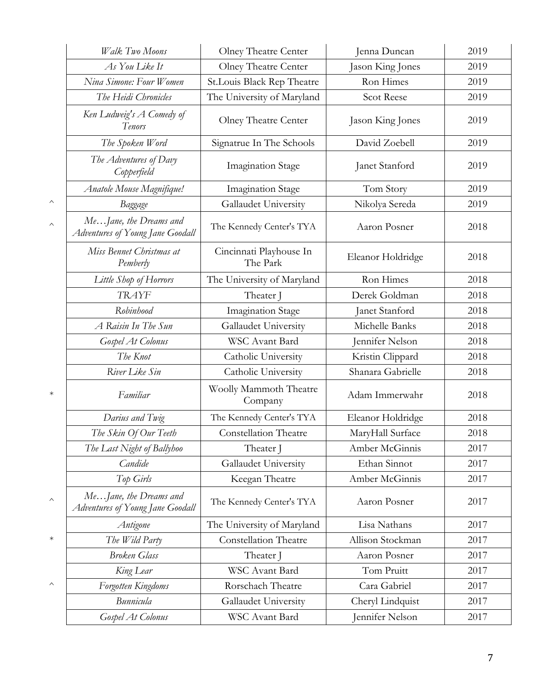|          | Walk Two Moons                                             | Olney Theatre Center                | Jenna Duncan      | 2019 |
|----------|------------------------------------------------------------|-------------------------------------|-------------------|------|
|          | As You Like It                                             | Olney Theatre Center                | Jason King Jones  | 2019 |
|          | Nina Simone: Four Women                                    | St.Louis Black Rep Theatre          | Ron Himes         | 2019 |
|          | The Heidi Chronicles                                       | The University of Maryland          | <b>Scot Reese</b> | 2019 |
|          | Ken Ludweig's A Comedy of<br>Tenors                        | Olney Theatre Center                | Jason King Jones  | 2019 |
|          | The Spoken Word                                            | Signatrue In The Schools            | David Zoebell     | 2019 |
|          | The Adventures of Davy<br>Copperfield                      | <b>Imagination Stage</b>            | Janet Stanford    | 2019 |
|          | Anatole Mouse Magnifique!                                  | Imagination Stage                   | Tom Story         | 2019 |
| ∧        | Baggage                                                    | Gallaudet University                | Nikolya Sereda    | 2019 |
| $\wedge$ | MeJane, the Dreams and<br>Adventures of Young Jane Goodall | The Kennedy Center's TYA            | Aaron Posner      | 2018 |
|          | Miss Bennet Christmas at<br>Pemberly                       | Cincinnati Playhouse In<br>The Park | Eleanor Holdridge | 2018 |
|          | Little Shop of Horrors                                     | The University of Maryland          | Ron Himes         | 2018 |
|          | <b>TRAYF</b>                                               | Theater J                           | Derek Goldman     | 2018 |
|          | Robinhood                                                  | <b>Imagination Stage</b>            | Janet Stanford    | 2018 |
|          | A Raisin In The Sun                                        | Gallaudet University                | Michelle Banks    | 2018 |
|          | Gospel At Colonus                                          | WSC Avant Bard                      | Jennifer Nelson   | 2018 |
|          | The Knot                                                   | Catholic University                 | Kristin Clippard  | 2018 |
|          | River Like Sin                                             | Catholic University                 | Shanara Gabrielle | 2018 |
| $\ast$   | Familiar                                                   | Woolly Mammoth Theatre<br>Company   | Adam Immerwahr    | 2018 |
|          | Darius and Twig                                            | The Kennedy Center's TYA            | Eleanor Holdridge | 2018 |
|          | The Skin Of Our Teeth                                      | <b>Constellation Theatre</b>        | MaryHall Surface  | 2018 |
|          | The Last Night of Ballyhoo                                 | Theater J                           | Amber McGinnis    | 2017 |
|          | Candide                                                    | Gallaudet University                | Ethan Sinnot      | 2017 |
|          | Top Girls                                                  | Keegan Theatre                      | Amber McGinnis    | 2017 |
| ∧        | MeJane, the Dreams and<br>Adventures of Young Jane Goodall | The Kennedy Center's TYA            | Aaron Posner      | 2017 |
|          | Antigone                                                   | The University of Maryland          | Lisa Nathans      | 2017 |
| $\ast$   | The Wild Party                                             | <b>Constellation Theatre</b>        | Allison Stockman  | 2017 |
|          | <b>Broken Glass</b>                                        | Theater J                           | Aaron Posner      | 2017 |
|          | King Lear                                                  | WSC Avant Bard                      | Tom Pruitt        | 2017 |
| ∧        | Forgotten Kingdoms                                         | Rorschach Theatre                   | Cara Gabriel      | 2017 |
|          | Bunnicula                                                  | Gallaudet University                | Cheryl Lindquist  | 2017 |
|          | Gospel At Colonus                                          | WSC Avant Bard                      | Jennifer Nelson   | 2017 |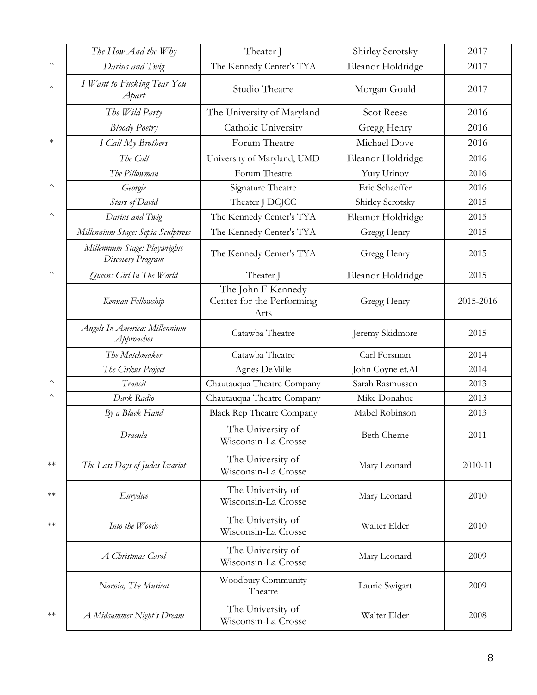|                         | The How And the Why                                | Theater J                                               | Shirley Serotsky   | 2017      |
|-------------------------|----------------------------------------------------|---------------------------------------------------------|--------------------|-----------|
| $\widehat{\phantom{1}}$ | Darius and Twig                                    | The Kennedy Center's TYA                                | Eleanor Holdridge  | 2017      |
| $\wedge$                | I Want to Fucking Tear You<br>Apart                | Studio Theatre                                          | Morgan Gould       | 2017      |
|                         | The Wild Party                                     | The University of Maryland                              | <b>Scot Reese</b>  | 2016      |
|                         | <b>Bloody Poetry</b>                               | Catholic University                                     | Gregg Henry        | 2016      |
| $\ast$                  | I Call My Brothers                                 | Forum Theatre                                           | Michael Dove       | 2016      |
|                         | The Call                                           | University of Maryland, UMD                             | Eleanor Holdridge  | 2016      |
|                         | The Pillowman                                      | Forum Theatre                                           | Yury Urinov        | 2016      |
| $\wedge$                | Georgie                                            | Signature Theatre                                       | Eric Schaeffer     | 2016      |
|                         | <b>Stars of David</b>                              | Theater J DCJCC                                         | Shirley Serotsky   | 2015      |
| $\wedge$                | Darius and Twig                                    | The Kennedy Center's TYA                                | Eleanor Holdridge  | 2015      |
|                         | Millennium Stage: Sepia Sculptress                 | The Kennedy Center's TYA                                | Gregg Henry        | 2015      |
|                         | Millennium Stage: Playwrights<br>Discovery Program | The Kennedy Center's TYA                                | Gregg Henry        | 2015      |
| $\wedge$                | Queens Girl In The World                           | Theater J                                               | Eleanor Holdridge  | 2015      |
|                         | Kennan Fellowship                                  | The John F Kennedy<br>Center for the Performing<br>Arts | Gregg Henry        | 2015-2016 |
|                         | Angels In America: Millennium<br>Approaches        | Catawba Theatre                                         | Jeremy Skidmore    | 2015      |
|                         | The Matchmaker                                     | Catawba Theatre                                         | Carl Forsman       | 2014      |
|                         | The Cirkus Project                                 | Agnes DeMille                                           | John Coyne et.Al   | 2014      |
| $\wedge$                | Transit                                            | Chautauqua Theatre Company                              | Sarah Rasmussen    | 2013      |
| $\wedge$                | Dark Radio                                         | Chautauqua Theatre Company                              | Mike Donahue       | 2013      |
|                         | By a Black Hand                                    | <b>Black Rep Theatre Company</b>                        | Mabel Robinson     | 2013      |
|                         | Dracula                                            | The University of<br>Wisconsin-La Crosse                | <b>Beth Cherne</b> | 2011      |
| $**$                    | The Last Days of Judas Iscariot                    | The University of<br>Wisconsin-La Crosse                | Mary Leonard       | 2010-11   |
| $^{**}$                 | Eurydice                                           | The University of<br>Wisconsin-La Crosse                | Mary Leonard       | 2010      |
| $**$                    | Into the Woods                                     | The University of<br>Wisconsin-La Crosse                | Walter Elder       | 2010      |
|                         | A Christmas Carol                                  | The University of<br>Wisconsin-La Crosse                | Mary Leonard       | 2009      |
|                         | Narnia, The Musical                                | Woodbury Community<br>Theatre                           | Laurie Swigart     | 2009      |
| $**$                    | A Midsummer Night's Dream                          | The University of<br>Wisconsin-La Crosse                | Walter Elder       | 2008      |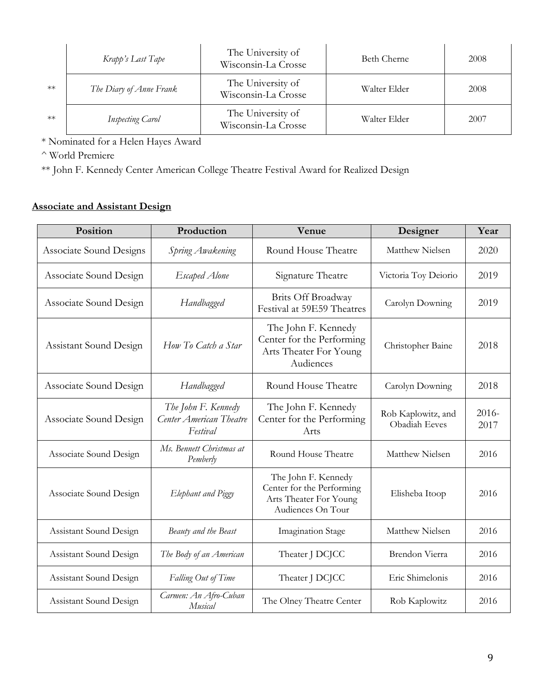|      | Krapp's Last Tape       | The University of<br>Wisconsin-La Crosse | Beth Cherne  | 2008 |
|------|-------------------------|------------------------------------------|--------------|------|
| $**$ | The Diary of Anne Frank | The University of<br>Wisconsin-La Crosse | Walter Elder | 2008 |
| $**$ | <b>Inspecting Carol</b> | The University of<br>Wisconsin-La Crosse | Walter Elder | 2007 |

\* Nominated for a Helen Hayes Award

^ World Premiere

\*\* John F. Kennedy Center American College Theatre Festival Award for Realized Design

# **Associate and Assistant Design**

| Position                | Production                                                 | Venue                                                                                           | Designer                            | Year          |
|-------------------------|------------------------------------------------------------|-------------------------------------------------------------------------------------------------|-------------------------------------|---------------|
| Associate Sound Designs | Spring Awakening                                           | Round House Theatre                                                                             | Matthew Nielsen                     | 2020          |
| Associate Sound Design  | Escaped Alone                                              | Signature Theatre                                                                               | Victoria Toy Deiorio                | 2019          |
| Associate Sound Design  | Handbagged                                                 | Brits Off Broadway<br>Festival at 59E59 Theatres                                                | Carolyn Downing                     | 2019          |
| Assistant Sound Design  | How To Catch a Star                                        | The John F. Kennedy<br>Center for the Performing<br>Arts Theater For Young<br>Audiences         | Christopher Baine                   | 2018          |
| Associate Sound Design  | Handbagged                                                 | Round House Theatre                                                                             | Carolyn Downing                     | 2018          |
| Associate Sound Design  | The John F. Kennedy<br>Center American Theatre<br>Festival | The John F. Kennedy<br>Center for the Performing<br>Arts                                        | Rob Kaplowitz, and<br>Obadiah Eeves | 2016-<br>2017 |
| Associate Sound Design  | Ms. Bennett Christmas at<br>Pemberly                       | Round House Theatre                                                                             | Matthew Nielsen                     | 2016          |
| Associate Sound Design  | Elephant and Piggy                                         | The John F. Kennedy<br>Center for the Performing<br>Arts Theater For Young<br>Audiences On Tour | Elisheba Itoop                      | 2016          |
| Assistant Sound Design  | Beauty and the Beast                                       | <b>Imagination Stage</b>                                                                        | Matthew Nielsen                     | 2016          |
| Assistant Sound Design  | The Body of an American                                    | Theater J DCJCC                                                                                 | Brendon Vierra                      | 2016          |
| Assistant Sound Design  | Falling Out of Time                                        | Theater J DCJCC                                                                                 | Eric Shimelonis                     | 2016          |
| Assistant Sound Design  | Carmen: An Afro-Cuban<br>Musical                           | The Olney Theatre Center                                                                        | Rob Kaplowitz                       | 2016          |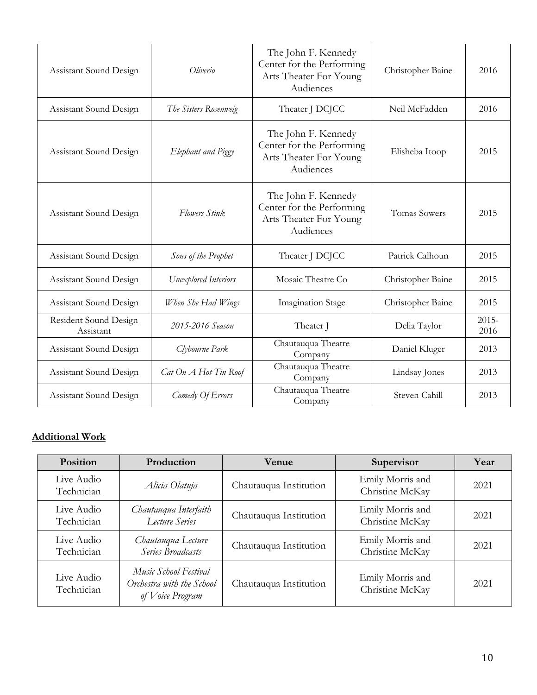| Assistant Sound Design             | Oliverio              | The John F. Kennedy<br>Center for the Performing<br>Arts Theater For Young<br>Audiences | Christopher Baine   | 2016             |
|------------------------------------|-----------------------|-----------------------------------------------------------------------------------------|---------------------|------------------|
| Assistant Sound Design             | The Sisters Rosenweig | Theater J DCJCC                                                                         | Neil McFadden       | 2016             |
| Assistant Sound Design             | Elephant and Piggy    | The John F. Kennedy<br>Center for the Performing<br>Arts Theater For Young<br>Audiences | Elisheba Itoop      | 2015             |
| Assistant Sound Design             | Flowers Stink         | The John F. Kennedy<br>Center for the Performing<br>Arts Theater For Young<br>Audiences | <b>Tomas Sowers</b> | 2015             |
| Assistant Sound Design             | Sons of the Prophet   | Theater J DCJCC                                                                         | Patrick Calhoun     | 2015             |
| Assistant Sound Design             | Unexplored Interiors  | Mosaic Theatre Co                                                                       | Christopher Baine   | 2015             |
| Assistant Sound Design             | When She Had Wings    | <b>Imagination Stage</b>                                                                | Christopher Baine   | 2015             |
| Resident Sound Design<br>Assistant | 2015-2016 Season      | Theater J                                                                               | Delia Taylor        | $2015 -$<br>2016 |
| Assistant Sound Design             | Clybourne Park        | Chautauqua Theatre<br>Company                                                           | Daniel Kluger       | 2013             |
| Assistant Sound Design             | Cat On A Hot Tin Roof | Chautauqua Theatre<br>Company                                                           | Lindsay Jones       | 2013             |
| Assistant Sound Design             | Comedy Of Errors      | Chautauqua Theatre<br>Company                                                           | Steven Cahill       | 2013             |

# **Additional Work**

| <b>Position</b>          | Production                                                             | <b>Venue</b>           | Supervisor                          | Year |
|--------------------------|------------------------------------------------------------------------|------------------------|-------------------------------------|------|
| Live Audio<br>Technician | Alicia Olatuja                                                         | Chautauqua Institution | Emily Morris and<br>Christine McKay | 2021 |
| Live Audio<br>Technician | Chautauqua Interfaith<br>Lecture Series                                | Chautauqua Institution | Emily Morris and<br>Christine McKay | 2021 |
| Live Audio<br>Technician | Chautauqua Lecture<br>Series Broadcasts                                | Chautauqua Institution | Emily Morris and<br>Christine McKay | 2021 |
| Live Audio<br>Technician | Music School Festival<br>Orchestra with the School<br>of Voice Program | Chautauqua Institution | Emily Morris and<br>Christine McKay | 2021 |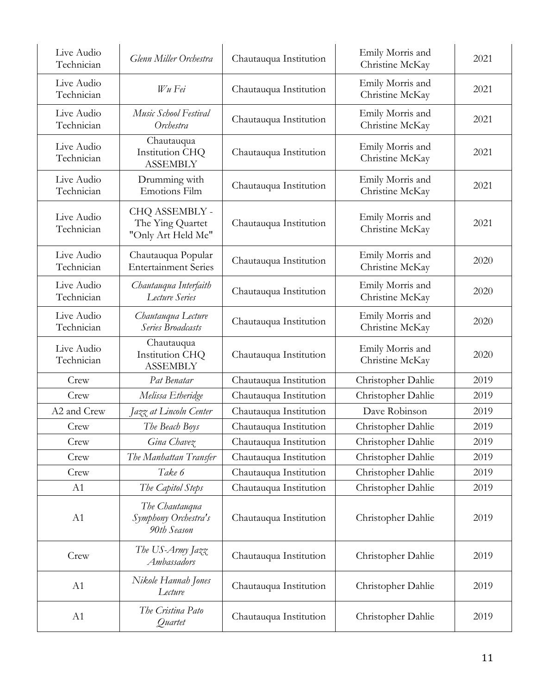| Live Audio<br>Technician | Glenn Miller Orchestra                                   | Chautauqua Institution | Emily Morris and<br>Christine McKay | 2021 |
|--------------------------|----------------------------------------------------------|------------------------|-------------------------------------|------|
| Live Audio<br>Technician | Wu Fei                                                   | Chautauqua Institution | Emily Morris and<br>Christine McKay | 2021 |
| Live Audio<br>Technician | Music School Festival<br>Orchestra                       | Chautauqua Institution | Emily Morris and<br>Christine McKay | 2021 |
| Live Audio<br>Technician | Chautauqua<br>Institution CHQ<br><b>ASSEMBLY</b>         | Chautauqua Institution | Emily Morris and<br>Christine McKay | 2021 |
| Live Audio<br>Technician | Drumming with<br>Emotions Film                           | Chautauqua Institution | Emily Morris and<br>Christine McKay | 2021 |
| Live Audio<br>Technician | CHQ ASSEMBLY -<br>The Ying Quartet<br>"Only Art Held Me" | Chautauqua Institution | Emily Morris and<br>Christine McKay | 2021 |
| Live Audio<br>Technician | Chautauqua Popular<br><b>Entertainment Series</b>        | Chautauqua Institution | Emily Morris and<br>Christine McKay | 2020 |
| Live Audio<br>Technician | Chautauqua Interfaith<br>Lecture Series                  | Chautauqua Institution | Emily Morris and<br>Christine McKay | 2020 |
| Live Audio<br>Technician | Chautauqua Lecture<br>Series Broadcasts                  | Chautauqua Institution | Emily Morris and<br>Christine McKay | 2020 |
| Live Audio<br>Technician | Chautauqua<br>Institution CHQ<br><b>ASSEMBLY</b>         | Chautauqua Institution | Emily Morris and<br>Christine McKay | 2020 |
| Crew                     | Pat Benatar                                              | Chautauqua Institution | Christopher Dahlie                  | 2019 |
| Crew                     | Melissa Etheridge                                        | Chautauqua Institution | Christopher Dahlie                  | 2019 |
| A2 and Crew              | Jazz at Lincoln Center                                   | Chautauqua Institution | Dave Robinson                       | 2019 |
| Crew                     | The Beach Boys                                           | Chautauqua Institution | Christopher Dahlie                  | 2019 |
| Crew                     | Gina Chavez                                              | Chautauqua Institution | Christopher Dahlie                  | 2019 |
| Crew                     | The Manhattan Transfer                                   | Chautauqua Institution | Christopher Dahlie                  | 2019 |
| Crew                     | Take 6                                                   | Chautauqua Institution | Christopher Dahlie                  | 2019 |
| A1                       | The Capitol Steps                                        | Chautauqua Institution | Christopher Dahlie                  | 2019 |
| A1                       | The Chautauqua<br>Symphony Orchestra's<br>90th Season    | Chautauqua Institution | Christopher Dahlie                  | 2019 |
| Crew                     | The US-Army Jazz<br>Ambassadors                          | Chautauqua Institution | Christopher Dahlie                  | 2019 |
| A1                       | Nikole Hannah Jones<br>Lecture                           | Chautauqua Institution | Christopher Dahlie                  | 2019 |
| A1                       | The Cristina Pato<br>Quartet                             | Chautauqua Institution | Christopher Dahlie                  | 2019 |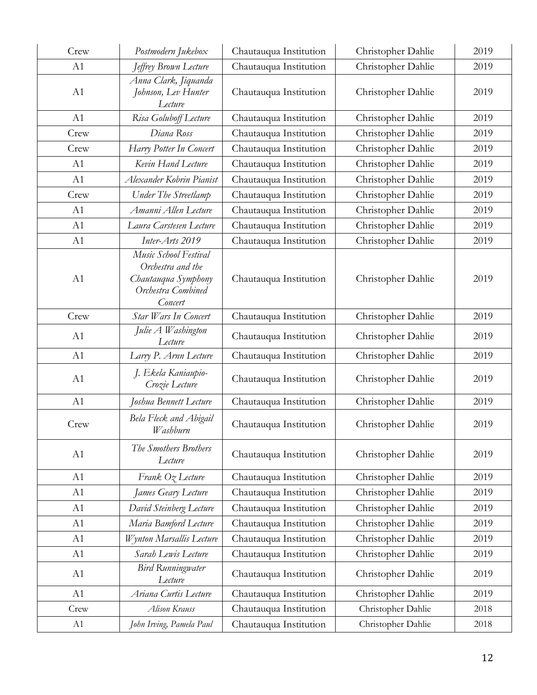| Crew | Postmodern Jukebox                                                                                 | Chautauqua Institution | Christopher Dahlie | 2019 |
|------|----------------------------------------------------------------------------------------------------|------------------------|--------------------|------|
| A1   | Jeffrey Brown Lecture                                                                              | Chautauqua Institution | Christopher Dahlie | 2019 |
| A1   | Anna Clark, Jiquanda<br>Johnson, Lev Hunter<br>Lecture                                             | Chautauqua Institution | Christopher Dahlie | 2019 |
| A1   | Risa Goluboff Lecture                                                                              | Chautauqua Institution | Christopher Dahlie | 2019 |
| Crew | Diana Ross                                                                                         | Chautauqua Institution | Christopher Dahlie | 2019 |
| Crew | Harry Potter In Concert                                                                            | Chautauqua Institution | Christopher Dahlie | 2019 |
| A1   | Kevin Hand Lecture                                                                                 | Chautauqua Institution | Christopher Dahlie | 2019 |
| A1   | Alexander Kobrin Pianist                                                                           | Chautauqua Institution | Christopher Dahlie | 2019 |
| Crew | Under The Streetlamp                                                                               | Chautauqua Institution | Christopher Dahlie | 2019 |
| A1   | Amanni Allen Lecture                                                                               | Chautauqua Institution | Christopher Dahlie | 2019 |
| A1   | Laura Carstesen Lecture                                                                            | Chautauqua Institution | Christopher Dahlie | 2019 |
| A1   | Inter-Arts 2019                                                                                    | Chautauqua Institution | Christopher Dahlie | 2019 |
| A1   | Music School Festival<br>Orchestra and the<br>Chautauqua Symphony<br>Orchestra Combined<br>Concert | Chautauqua Institution | Christopher Dahlie | 2019 |
| Crew | Star Wars In Concert                                                                               | Chautauqua Institution | Christopher Dahlie | 2019 |
| A1   | Julie A Washington<br>Lecture                                                                      | Chautauqua Institution | Christopher Dahlie | 2019 |
| A1   | Larry P. Arnn Lecture                                                                              | Chautauqua Institution | Christopher Dahlie | 2019 |
| A1   | J. Ekela Kaniaupio-<br>Crozie Lecture                                                              | Chautauqua Institution | Christopher Dahlie | 2019 |
| A1   | Joshua Bennett Lecture                                                                             | Chautauqua Institution | Christopher Dahlie | 2019 |
| Crew | Bela Fleck and Abigail<br>Washburn                                                                 | Chautauqua Institution | Christopher Dahlie | 2019 |
| A1   | The Smothers Brothers<br>Lecture                                                                   | Chautauqua Institution | Christopher Dahlie | 2019 |
| A1   | Frank Oz Lecture                                                                                   | Chautauqua Institution | Christopher Dahlie | 2019 |
| A1   | James Geary Lecture                                                                                | Chautauqua Institution | Christopher Dahlie | 2019 |
| A1   | David Steinberg Lecture                                                                            | Chautauqua Institution | Christopher Dahlie | 2019 |
| A1   | Maria Bamford Lecture                                                                              | Chautauqua Institution | Christopher Dahlie | 2019 |
| A1   | Wynton Marsallis Lecture                                                                           | Chautauqua Institution | Christopher Dahlie | 2019 |
| A1   | Sarah Lewis Lecture                                                                                | Chautauqua Institution | Christopher Dahlie | 2019 |
| A1   | <b>Bird Runningwater</b><br>Lecture                                                                | Chautauqua Institution | Christopher Dahlie | 2019 |
| A1   | Ariana Curtis Lecture                                                                              | Chautauqua Institution | Christopher Dahlie | 2019 |
| Crew | Alison Krauss                                                                                      | Chautauqua Institution | Christopher Dahlie | 2018 |
| A1   | John Irving, Pamela Paul                                                                           | Chautauqua Institution | Christopher Dahlie | 2018 |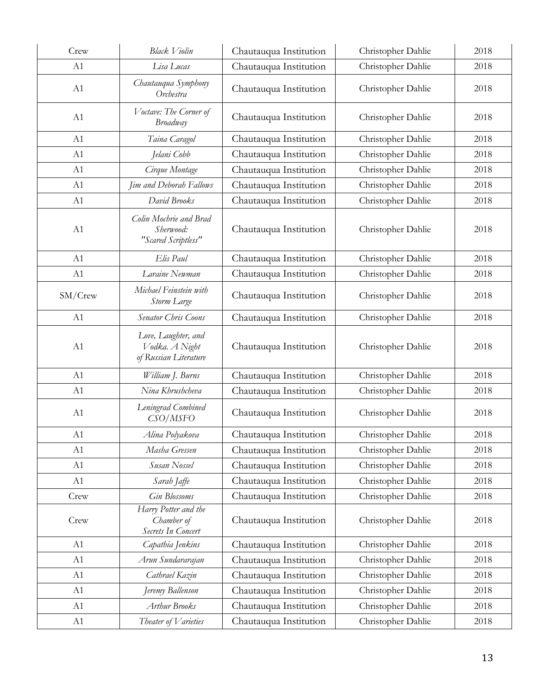| Crew    | <b>Black Violin</b>                                            | Chautauqua Institution | Christopher Dahlie | 2018 |
|---------|----------------------------------------------------------------|------------------------|--------------------|------|
| A1      | Lisa Lucas                                                     | Chautauqua Institution | Christopher Dahlie | 2018 |
| A1      | Chautauqua Symphony<br>Orchestra                               | Chautauqua Institution | Christopher Dahlie | 2018 |
| A1      | Voctave: The Corner of<br>Broadway                             | Chautauqua Institution | Christopher Dahlie | 2018 |
| A1      | Taina Caragol                                                  | Chautauqua Institution | Christopher Dahlie | 2018 |
| A1      | Jelani Cobb                                                    | Chautauqua Institution | Christopher Dahlie | 2018 |
| A1      | Cirque Montage                                                 | Chautauqua Institution | Christopher Dahlie | 2018 |
| A1      | Jim and Deborah Fallows                                        | Chautauqua Institution | Christopher Dahlie | 2018 |
| A1      | David Brooks                                                   | Chautauqua Institution | Christopher Dahlie | 2018 |
| A1      | Colin Mochrie and Brad<br>Sherwood:<br>"Scared Scriptless"     | Chautauqua Institution | Christopher Dahlie | 2018 |
| A1      | Elis Paul                                                      | Chautauqua Institution | Christopher Dahlie | 2018 |
| A1      | Laraine Newman                                                 | Chautauqua Institution | Christopher Dahlie | 2018 |
| SM/Crew | Michael Feinstein with<br>Storm Large                          | Chautauqua Institution | Christopher Dahlie | 2018 |
| A1      | Senator Chris Coons                                            | Chautauqua Institution | Christopher Dahlie | 2018 |
| A1      | Love, Laughter, and<br>Vodka. A Night<br>of Russian Literature | Chautauqua Institution | Christopher Dahlie | 2018 |
| A1      | William J. Burns                                               | Chautauqua Institution | Christopher Dahlie | 2018 |
| A1      | Nina Khrushcheva                                               | Chautauqua Institution | Christopher Dahlie | 2018 |
| A1      | Leningrad Combined<br>CSO/MSFO                                 | Chautauqua Institution | Christopher Dahlie | 2018 |
| A1      | Alina Polyakova                                                | Chautauqua Institution | Christopher Dahlie | 2018 |
| A1      | Masha Gressen                                                  | Chautauqua Institution | Christopher Dahlie | 2018 |
| A1      | Susan Nossel                                                   | Chautauqua Institution | Christopher Dahlie | 2018 |
| A1      | Sarah Jaffe                                                    | Chautauqua Institution | Christopher Dahlie | 2018 |
| Crew    | <b>Gin Blossoms</b>                                            | Chautauqua Institution | Christopher Dahlie | 2018 |
| Crew    | Harry Potter and the<br>Chamber of<br>Secrets In Concert       | Chautauqua Institution | Christopher Dahlie | 2018 |
| A1      | Capathia Jenkins                                               | Chautauqua Institution | Christopher Dahlie | 2018 |
| A1      | Arun Sundararajan                                              | Chautauqua Institution | Christopher Dahlie | 2018 |
| A1      | Cathrael Kazin                                                 | Chautauqua Institution | Christopher Dahlie | 2018 |
| A1      | Jeremy Ballenson                                               | Chautauqua Institution | Christopher Dahlie | 2018 |
| A1      | Arthur Brooks                                                  | Chautauqua Institution | Christopher Dahlie | 2018 |
| A1      | Theater of Varieties                                           | Chautauqua Institution | Christopher Dahlie | 2018 |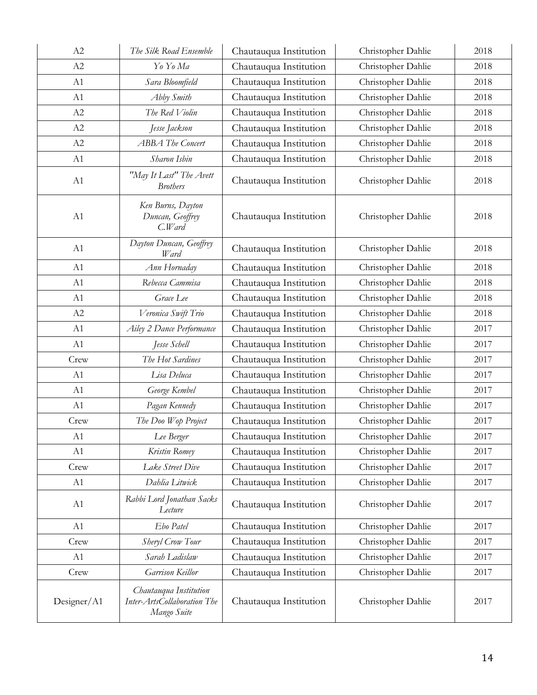| A2          | The Silk Road Ensemble                                               | Chautauqua Institution | Christopher Dahlie | 2018 |
|-------------|----------------------------------------------------------------------|------------------------|--------------------|------|
| A2          | Yo Yo Ma                                                             | Chautauqua Institution | Christopher Dahlie | 2018 |
| A1          | Sara Bloomfield                                                      | Chautauqua Institution | Christopher Dahlie | 2018 |
| A1          | Abby Smith                                                           | Chautauqua Institution | Christopher Dahlie | 2018 |
| A2          | The Red Violin                                                       | Chautauqua Institution | Christopher Dahlie | 2018 |
| A2          | Jesse Jackson                                                        | Chautauqua Institution | Christopher Dahlie | 2018 |
| A2          | <b>ABBA</b> The Concert                                              | Chautauqua Institution | Christopher Dahlie | 2018 |
| A1          | Sharon Isbin                                                         | Chautauqua Institution | Christopher Dahlie | 2018 |
| A1          | "May It Last" The Avett<br><b>Brothers</b>                           | Chautauqua Institution | Christopher Dahlie | 2018 |
| A1          | Ken Burns, Dayton<br>Duncan, Geoffrey<br>C.Ward                      | Chautauqua Institution | Christopher Dahlie | 2018 |
| A1          | Dayton Duncan, Geoffrey<br>Ward                                      | Chautauqua Institution | Christopher Dahlie | 2018 |
| A1          | Ann Hornaday                                                         | Chautauqua Institution | Christopher Dahlie | 2018 |
| A1          | Rebecca Cammisa                                                      | Chautauqua Institution | Christopher Dahlie | 2018 |
| A1          | Grace Lee                                                            | Chautauqua Institution | Christopher Dahlie | 2018 |
| A2          | Veronica Swift Trio                                                  | Chautauqua Institution | Christopher Dahlie | 2018 |
| A1          | Ailey 2 Dance Performance                                            | Chautauqua Institution | Christopher Dahlie | 2017 |
| A1          | Jesse Schell                                                         | Chautauqua Institution | Christopher Dahlie | 2017 |
| Crew        | The Hot Sardines                                                     | Chautauqua Institution | Christopher Dahlie | 2017 |
| A1          | Lisa Deluca                                                          | Chautauqua Institution | Christopher Dahlie | 2017 |
| A1          | George Kembel                                                        | Chautauqua Institution | Christopher Dahlie | 2017 |
| A1          | Pagan Kennedy                                                        | Chautauqua Institution | Christopher Dahlie | 2017 |
| Crew        | The Doo Wop Project                                                  | Chautauqua Institution | Christopher Dahlie | 2017 |
| A1          | Lee Berger                                                           | Chautauqua Institution | Christopher Dahlie | 2017 |
| A1          | Kristin Romey                                                        | Chautauqua Institution | Christopher Dahlie | 2017 |
| Crew        | Lake Street Dive                                                     | Chautauqua Institution | Christopher Dahlie | 2017 |
| A1          | Dahlia Litwick                                                       | Chautauqua Institution | Christopher Dahlie | 2017 |
| A1          | Rabbi Lord Jonathan Sacks<br>Lecture                                 | Chautauqua Institution | Christopher Dahlie | 2017 |
| A1          | Ebo Patel                                                            | Chautauqua Institution | Christopher Dahlie | 2017 |
| Crew        | Sheryl Crow Tour                                                     | Chautauqua Institution | Christopher Dahlie | 2017 |
| A1          | Sarah Ladislaw                                                       | Chautauqua Institution | Christopher Dahlie | 2017 |
| Crew        | Garrison Keillor                                                     | Chautauqua Institution | Christopher Dahlie | 2017 |
| Designer/A1 | Chautauqua Institution<br>Inter-ArtsCollaboration The<br>Mango Suite | Chautauqua Institution | Christopher Dahlie | 2017 |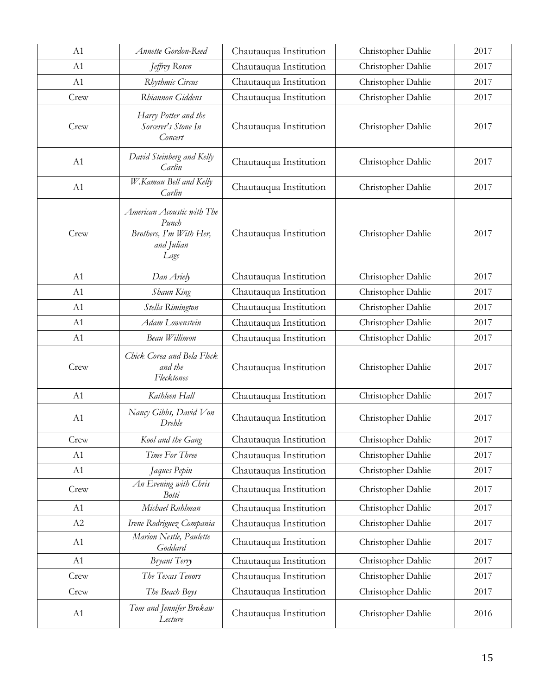| A1   | Annette Gordon-Reed                                                                  | Chautauqua Institution | Christopher Dahlie | 2017 |
|------|--------------------------------------------------------------------------------------|------------------------|--------------------|------|
| A1   | Jeffrey Rosen                                                                        | Chautauqua Institution | Christopher Dahlie | 2017 |
| A1   | Rhythmic Circus                                                                      | Chautauqua Institution | Christopher Dahlie | 2017 |
| Crew | Rhiannon Giddens                                                                     | Chautauqua Institution | Christopher Dahlie | 2017 |
| Crew | Harry Potter and the<br>Sorcerer's Stone In<br>Concert                               | Chautauqua Institution | Christopher Dahlie | 2017 |
| A1   | David Steinberg and Kelly<br>Carlin                                                  | Chautauqua Institution | Christopher Dahlie | 2017 |
| A1   | W.Kamau Bell and Kelly<br>Carlin                                                     | Chautauqua Institution | Christopher Dahlie | 2017 |
| Crew | American Acoustic with The<br>Punch<br>Brothers, I'm With Her,<br>and Julian<br>Lage | Chautauqua Institution | Christopher Dahlie | 2017 |
| A1   | Dan Ariely                                                                           | Chautauqua Institution | Christopher Dahlie | 2017 |
| A1   | Shaun King                                                                           | Chautauqua Institution | Christopher Dahlie | 2017 |
| A1   | Stella Rimington                                                                     | Chautauqua Institution | Christopher Dahlie | 2017 |
| A1   | Adam Lowenstein                                                                      | Chautauqua Institution | Christopher Dahlie | 2017 |
| A1   | Beau Willimon                                                                        | Chautauqua Institution | Christopher Dahlie | 2017 |
| Crew | Chick Corea and Bela Fleck<br>and the<br>Flecktones                                  | Chautauqua Institution | Christopher Dahlie | 2017 |
| A1   | Kathleen Hall                                                                        | Chautauqua Institution | Christopher Dahlie | 2017 |
| A1   | Nancy Gibbs, David Von<br>Drehle                                                     | Chautauqua Institution | Christopher Dahlie | 2017 |
| Crew | Kool and the Gang                                                                    | Chautauqua Institution | Christopher Dahlie | 2017 |
| A1   | Time For Three                                                                       | Chautauqua Institution | Christopher Dahlie | 2017 |
| A1   | Jaques Pepin                                                                         | Chautauqua Institution | Christopher Dahlie | 2017 |
| Crew | An Evening with Chris<br><b>Botti</b>                                                | Chautauqua Institution | Christopher Dahlie | 2017 |
| A1   | Michael Ruhlman                                                                      | Chautauqua Institution | Christopher Dahlie | 2017 |
| A2   | Irene Rodriguez Compania                                                             | Chautauqua Institution | Christopher Dahlie | 2017 |
| A1   | Marion Nestle, Paulette<br>Goddard                                                   | Chautauqua Institution | Christopher Dahlie | 2017 |
| A1   | Bryant Terry                                                                         | Chautauqua Institution | Christopher Dahlie | 2017 |
| Crew | The Texas Tenors                                                                     | Chautauqua Institution | Christopher Dahlie | 2017 |
| Crew | The Beach Boys                                                                       | Chautauqua Institution | Christopher Dahlie | 2017 |
| A1   | Tom and Jennifer Brokaw<br>Lecture                                                   | Chautauqua Institution | Christopher Dahlie | 2016 |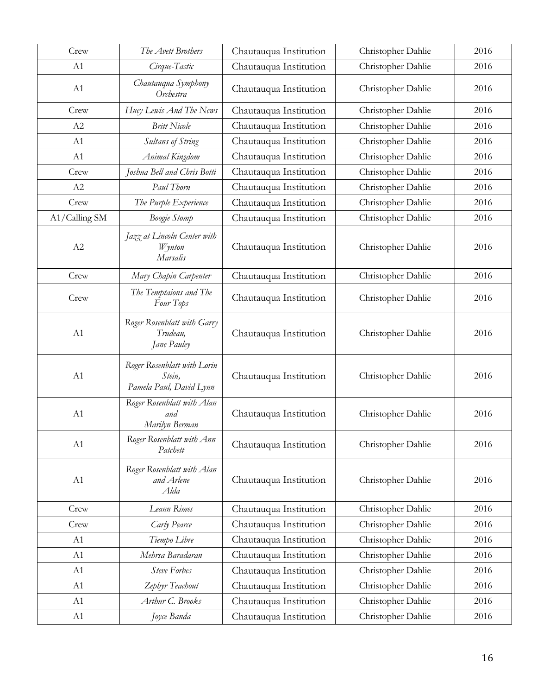| Crew          | The Avett Brothers                                               | Chautauqua Institution | Christopher Dahlie | 2016 |
|---------------|------------------------------------------------------------------|------------------------|--------------------|------|
| A1            | Cirque-Tastic                                                    | Chautauqua Institution | Christopher Dahlie | 2016 |
| A1            | Chautauqua Symphony<br>Orchestra                                 | Chautauqua Institution | Christopher Dahlie | 2016 |
| Crew          | Huey Lewis And The News                                          | Chautauqua Institution | Christopher Dahlie | 2016 |
| A2            | <b>Britt Nicole</b>                                              | Chautauqua Institution | Christopher Dahlie | 2016 |
| A1            | Sultans of String                                                | Chautauqua Institution | Christopher Dahlie | 2016 |
| A1            | Animal Kingdom                                                   | Chautauqua Institution | Christopher Dahlie | 2016 |
| Crew          | Joshua Bell and Chris Botti                                      | Chautauqua Institution | Christopher Dahlie | 2016 |
| A2            | Paul Thorn                                                       | Chautauqua Institution | Christopher Dahlie | 2016 |
| Crew          | The Purple Experience                                            | Chautauqua Institution | Christopher Dahlie | 2016 |
| A1/Calling SM | <b>Boogie Stomp</b>                                              | Chautauqua Institution | Christopher Dahlie | 2016 |
| A2            | Jazz at Lincoln Center with<br><b>Wynton</b><br>Marsalis         | Chautauqua Institution | Christopher Dahlie | 2016 |
| Crew          | Mary Chapin Carpenter                                            | Chautauqua Institution | Christopher Dahlie | 2016 |
| Crew          | The Temptaions and The<br>Four Tops                              | Chautauqua Institution | Christopher Dahlie | 2016 |
| A1            | Roger Rosenblatt with Garry<br>Trudeau,<br>Jane Pauley           | Chautauqua Institution | Christopher Dahlie | 2016 |
| A1            | Roger Rosenblatt with Lorin<br>Stein,<br>Pamela Paul, David Lynn | Chautauqua Institution | Christopher Dahlie | 2016 |
| A1            | Roger Rosenblatt with Alan<br>and<br>Marilyn Berman              | Chautauqua Institution | Christopher Dahlie | 2016 |
| A1            | Roger Rosenblatt with Ann<br>Patchett                            | Chautauqua Institution | Christopher Dahlie | 2016 |
| A1            | Roger Rosenblatt with Alan<br>and Arlene<br>Alda                 | Chautauqua Institution | Christopher Dahlie | 2016 |
| Crew          | Leann Rimes                                                      | Chautauqua Institution | Christopher Dahlie | 2016 |
| Crew          | Carly Pearce                                                     | Chautauqua Institution | Christopher Dahlie | 2016 |
| A1            | Tiempo Libre                                                     | Chautauqua Institution | Christopher Dahlie | 2016 |
| A1            | Mehrsa Baradaran                                                 | Chautauqua Institution | Christopher Dahlie | 2016 |
| A1            | <b>Steve Forbes</b>                                              | Chautauqua Institution | Christopher Dahlie | 2016 |
| A1            | Zephyr Teachout                                                  | Chautauqua Institution | Christopher Dahlie | 2016 |
| A1            | Arthur C. Brooks                                                 | Chautauqua Institution | Christopher Dahlie | 2016 |
| A1            | Joyce Banda                                                      | Chautauqua Institution | Christopher Dahlie | 2016 |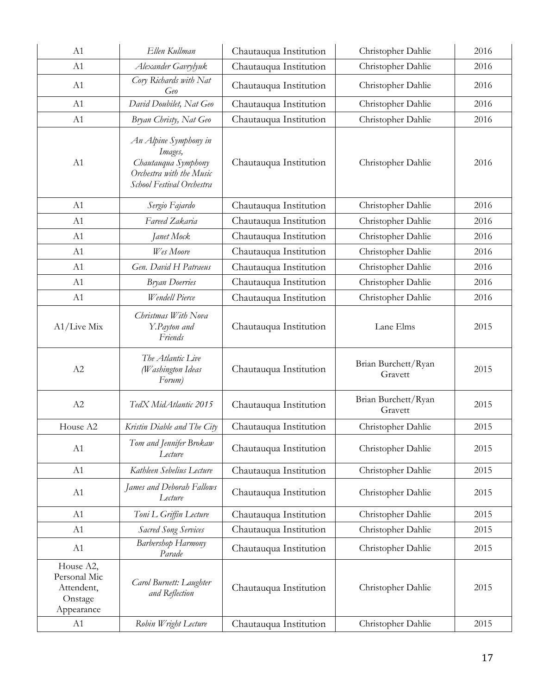| A1                                                               | Ellen Kullman                                                                                                    | Chautauqua Institution | Christopher Dahlie             | 2016 |
|------------------------------------------------------------------|------------------------------------------------------------------------------------------------------------------|------------------------|--------------------------------|------|
| A1                                                               | Alexander Gavrylyuk                                                                                              | Chautauqua Institution | Christopher Dahlie             | 2016 |
| A1                                                               | Cory Richards with Nat<br>Geo                                                                                    | Chautauqua Institution | Christopher Dahlie             | 2016 |
| A1                                                               | David Doubilet, Nat Geo                                                                                          | Chautauqua Institution | Christopher Dahlie             | 2016 |
| A1                                                               | Bryan Christy, Nat Geo                                                                                           | Chautauqua Institution | Christopher Dahlie             | 2016 |
| A1                                                               | An Alpine Symphony in<br>Images,<br>Chautauqua Symphony<br>Orchestra with the Music<br>School Festival Orchestra | Chautauqua Institution | Christopher Dahlie             | 2016 |
| A1                                                               | Sergio Fajardo                                                                                                   | Chautauqua Institution | Christopher Dahlie             | 2016 |
| A1                                                               | Fareed Zakaria                                                                                                   | Chautauqua Institution | Christopher Dahlie             | 2016 |
| A1                                                               | Janet Mock                                                                                                       | Chautauqua Institution | Christopher Dahlie             | 2016 |
| A1                                                               | Wes Moore                                                                                                        | Chautauqua Institution | Christopher Dahlie             | 2016 |
| A1                                                               | Gen. David H Patraeus                                                                                            | Chautauqua Institution | Christopher Dahlie             | 2016 |
| A1                                                               | <b>Bryan Doerries</b>                                                                                            | Chautauqua Institution | Christopher Dahlie             | 2016 |
| A1                                                               | Wendell Pierce                                                                                                   | Chautauqua Institution | Christopher Dahlie             | 2016 |
| $A1/Live$ Mix                                                    | Christmas With Nova<br>Y.Payton and<br>Friends                                                                   | Chautauqua Institution | Lane Elms                      | 2015 |
| A2                                                               | The Atlantic Live<br>(Washington Ideas<br>Forum)                                                                 | Chautauqua Institution | Brian Burchett/Ryan<br>Gravett | 2015 |
| A2                                                               | TedX MidAtlantic 2015                                                                                            | Chautauqua Institution | Brian Burchett/Ryan<br>Gravett | 2015 |
| House A2                                                         | Kristin Diable and The City                                                                                      | Chautauqua Institution | Christopher Dahlie             | 2015 |
| A1                                                               | Tom and Jennifer Brokaw<br>Lecture                                                                               | Chautauqua Institution | Christopher Dahlie             | 2015 |
| A1                                                               | Kathleen Sebelius Lecture                                                                                        | Chautauqua Institution | Christopher Dahlie             | 2015 |
| A1                                                               | James and Deborah Fallows<br>Lecture                                                                             | Chautauqua Institution | Christopher Dahlie             | 2015 |
| A1                                                               | Toni L Griffin Lecture                                                                                           | Chautauqua Institution | Christopher Dahlie             | 2015 |
| A1                                                               | <b>Sacred Song Services</b>                                                                                      | Chautauqua Institution | Christopher Dahlie             | 2015 |
| A1                                                               | Barbershop Harmony<br>Parade                                                                                     | Chautauqua Institution | Christopher Dahlie             | 2015 |
| House A2,<br>Personal Mic<br>Attendent,<br>Onstage<br>Appearance | Carol Burnett: Laughter<br>and Reflection                                                                        | Chautauqua Institution | Christopher Dahlie             | 2015 |
| A1                                                               | Robin Wright Lecture                                                                                             | Chautauqua Institution | Christopher Dahlie             | 2015 |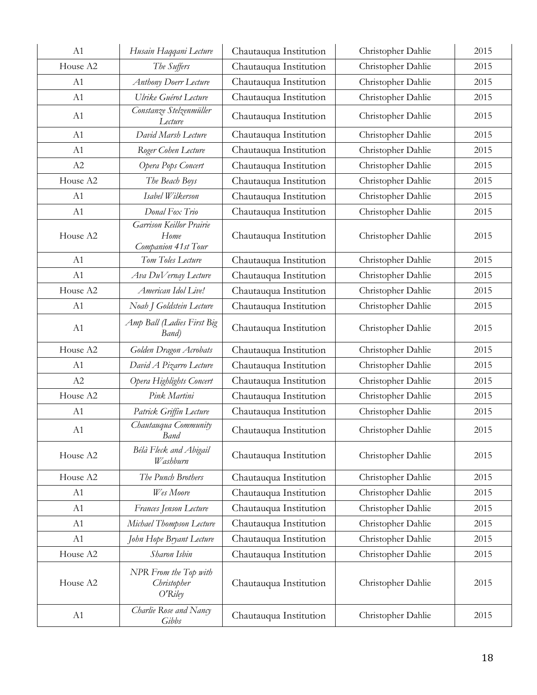| A1             | Husain Haqqani Lecture                                         | Chautauqua Institution | Christopher Dahlie | 2015 |
|----------------|----------------------------------------------------------------|------------------------|--------------------|------|
| House A2       | The Suffers                                                    | Chautauqua Institution | Christopher Dahlie | 2015 |
| A <sub>1</sub> | <b>Anthony Doerr Lecture</b>                                   | Chautauqua Institution | Christopher Dahlie | 2015 |
| A1             | Ulrike Guérot Lecture                                          | Chautauqua Institution | Christopher Dahlie | 2015 |
| A1             | Constanze Stelzenmüller<br>Lecture                             | Chautauqua Institution | Christopher Dahlie | 2015 |
| A1             | David Marsh Lecture                                            | Chautauqua Institution | Christopher Dahlie | 2015 |
| A1             | Roger Cohen Lecture                                            | Chautauqua Institution | Christopher Dahlie | 2015 |
| A2             | Opera Pops Concert                                             | Chautauqua Institution | Christopher Dahlie | 2015 |
| House A2       | The Beach Boys                                                 | Chautauqua Institution | Christopher Dahlie | 2015 |
| A1             | Isabel Wilkerson                                               | Chautauqua Institution | Christopher Dahlie | 2015 |
| A1             | Donal Fox Trio                                                 | Chautauqua Institution | Christopher Dahlie | 2015 |
| House A2       | <b>Garrison Keillor Prairie</b><br>Home<br>Companion 41st Tour | Chautauqua Institution | Christopher Dahlie | 2015 |
| A1             | Tom Toles Lecture                                              | Chautauqua Institution | Christopher Dahlie | 2015 |
| A1             | Ava DuVernay Lecture                                           | Chautauqua Institution | Christopher Dahlie | 2015 |
| House A2       | American Idol Live!                                            | Chautauqua Institution | Christopher Dahlie | 2015 |
| A1             | Noah J Goldstein Lecture                                       | Chautauqua Institution | Christopher Dahlie | 2015 |
| A1             | Amp Ball (Ladies First Big<br>Band)                            | Chautauqua Institution | Christopher Dahlie | 2015 |
| House A2       | Golden Dragon Acrobats                                         | Chautauqua Institution | Christopher Dahlie | 2015 |
| A1             | David A Pizarro Lecture                                        | Chautauqua Institution | Christopher Dahlie | 2015 |
| A2             | Opera Highlights Concert                                       | Chautauqua Institution | Christopher Dahlie | 2015 |
| House A2       | Pink Martini                                                   | Chautauqua Institution | Christopher Dahlie | 2015 |
| A1             | Patrick Griffin Lecture                                        | Chautauqua Institution | Christopher Dahlie | 2015 |
| A1             | Chautauqua Community<br>Band                                   | Chautauqua Institution | Christopher Dahlie | 2015 |
| House A2       | Bélà Fleck and Abigail<br>Washburn                             | Chautauqua Institution | Christopher Dahlie | 2015 |
| House A2       | The Punch Brothers                                             | Chautauqua Institution | Christopher Dahlie | 2015 |
| A1             | Wes Moore                                                      | Chautauqua Institution | Christopher Dahlie | 2015 |
| A1             | Frances Jenson Lecture                                         | Chautauqua Institution | Christopher Dahlie | 2015 |
| A1             | Michael Thompson Lecture                                       | Chautauqua Institution | Christopher Dahlie | 2015 |
| A1             | John Hope Bryant Lecture                                       | Chautauqua Institution | Christopher Dahlie | 2015 |
| House A2       | Sharon Isbin                                                   | Chautauqua Institution | Christopher Dahlie | 2015 |
| House A2       | NPR From the Top with<br>Christopher<br>O'Riley                | Chautauqua Institution | Christopher Dahlie | 2015 |
| A1             | Charlie Rose and Nancy<br>Gibbs                                | Chautauqua Institution | Christopher Dahlie | 2015 |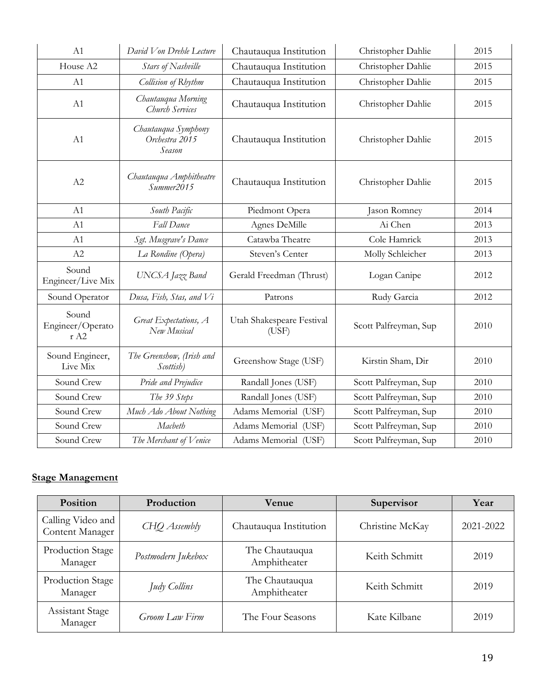| A1                                | David Von Drehle Lecture                        | Chautauqua Institution             | Christopher Dahlie    | 2015 |
|-----------------------------------|-------------------------------------------------|------------------------------------|-----------------------|------|
| House A2                          | Stars of Nashville                              | Chautauqua Institution             | Christopher Dahlie    | 2015 |
| A1                                | Collision of Rhythm                             | Chautauqua Institution             | Christopher Dahlie    | 2015 |
| A1                                | Chautauqua Morning<br>Church Services           | Chautauqua Institution             | Christopher Dahlie    | 2015 |
| A1                                | Chautauqua Symphony<br>Orchestra 2015<br>Season | Chautauqua Institution             | Christopher Dahlie    | 2015 |
| A2                                | Chautauqua Amphitheatre<br>Summer2015           | Chautauqua Institution             | Christopher Dahlie    | 2015 |
| A1                                | South Pacific                                   | Piedmont Opera                     | Jason Romney          | 2014 |
| A1                                | Fall Dance                                      | Agnes DeMille                      | Ai Chen               | 2013 |
| A1                                | Sgt. Musgrave's Dance                           | Catawba Theatre                    | Cole Hamrick          | 2013 |
| A2                                | La Rondine (Opera)                              | Steven's Center                    | Molly Schleicher      | 2013 |
| Sound<br>Engineer/Live Mix        | UNCSA Jazz Band                                 | Gerald Freedman (Thrust)           | Logan Canipe          | 2012 |
| Sound Operator                    | Dusa, Fish, Stas, and Vi                        | Patrons                            | Rudy Garcia           | 2012 |
| Sound<br>Engineer/Operato<br>r A2 | Great Expectations, A<br>New Musical            | Utah Shakespeare Festival<br>(USF) | Scott Palfreyman, Sup | 2010 |
| Sound Engineer,<br>Live Mix       | The Greenshow, (Irish and<br>Scottish)          | Greenshow Stage (USF)              | Kirstin Sham, Dir     | 2010 |
| Sound Crew                        | Pride and Prejudice                             | Randall Jones (USF)                | Scott Palfreyman, Sup | 2010 |
| Sound Crew                        | The 39 Steps                                    | Randall Jones (USF)                | Scott Palfreyman, Sup | 2010 |
| Sound Crew                        | Much Ado About Nothing                          | Adams Memorial (USF)               | Scott Palfreyman, Sup | 2010 |
| Sound Crew                        | Macbeth                                         | Adams Memorial (USF)               | Scott Palfreyman, Sup | 2010 |
| Sound Crew                        | The Merchant of Venice                          | Adams Memorial (USF)               | Scott Palfreyman, Sup | 2010 |

# **Stage Management**

| Position                             | Production         | <b>Venue</b>                   | Supervisor      | Year      |
|--------------------------------------|--------------------|--------------------------------|-----------------|-----------|
| Calling Video and<br>Content Manager | CHO Assembly       | Chautauqua Institution         | Christine McKay | 2021-2022 |
| Production Stage<br>Manager          | Postmodern Jukebox | The Chautauqua<br>Amphitheater | Keith Schmitt   | 2019      |
| Production Stage<br>Manager          | Judy Collins       | The Chautauqua<br>Amphitheater | Keith Schmitt   | 2019      |
| Assistant Stage<br>Manager           | Groom Law Firm     | The Four Seasons               | Kate Kilbane    | 2019      |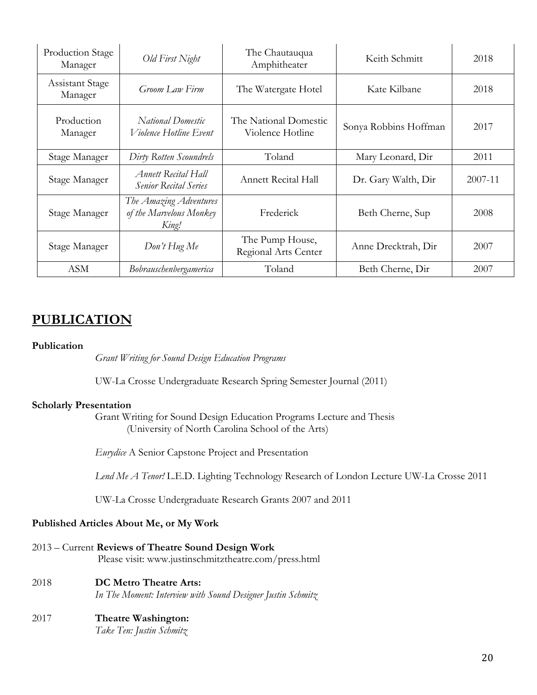| Production Stage<br>Manager       | Old First Night                                            | The Chautauqua<br>Amphitheater            | Keith Schmitt         | 2018    |
|-----------------------------------|------------------------------------------------------------|-------------------------------------------|-----------------------|---------|
| <b>Assistant Stage</b><br>Manager | Groom Law Firm                                             | The Watergate Hotel                       | Kate Kilbane          | 2018    |
| Production<br>Manager             | National Domestic<br><i>Violence Hotline Event</i>         | The National Domestic<br>Violence Hotline | Sonya Robbins Hoffman | 2017    |
| Stage Manager                     | Dirty Rotten Scoundrels                                    | Toland                                    | Mary Leonard, Dir     | 2011    |
| Stage Manager                     | <b>Annett Recital Hall</b><br><b>Senior Recital Series</b> | Annett Recital Hall                       | Dr. Gary Walth, Dir   | 2007-11 |
| Stage Manager                     | The Amazing Adventures<br>of the Marvelous Monkey<br>King! | Frederick                                 | Beth Cherne, Sup      | 2008    |
| Stage Manager                     | Don't Hug Me                                               | The Pump House,<br>Regional Arts Center   | Anne Drecktrah, Dir   | 2007    |
| <b>ASM</b>                        | Bobrauschenbergamerica                                     | Toland                                    | Beth Cherne, Dir      | 2007    |

# **PUBLICATION**

### **Publication**

*Grant Writing for Sound Design Education Programs*

UW-La Crosse Undergraduate Research Spring Semester Journal (2011)

### **Scholarly Presentation**

Grant Writing for Sound Design Education Programs Lecture and Thesis (University of North Carolina School of the Arts)

*Eurydice* A Senior Capstone Project and Presentation

*Lend Me A Tenor!* L.E.D. Lighting Technology Research of London Lecture UW-La Crosse 2011

UW-La Crosse Undergraduate Research Grants 2007 and 2011

### **Published Articles About Me, or My Work**

| 2013 – Current Reviews of Theatre Sound Design Work   |  |
|-------------------------------------------------------|--|
| Please visit: www.justinschmitztheatre.com/press.html |  |

- 2018 **DC Metro Theatre Arts:** *In The Moment: Interview with Sound Designer Justin Schmitz*
- 2017 **Theatre Washington:** *Take Ten: Justin Schmitz*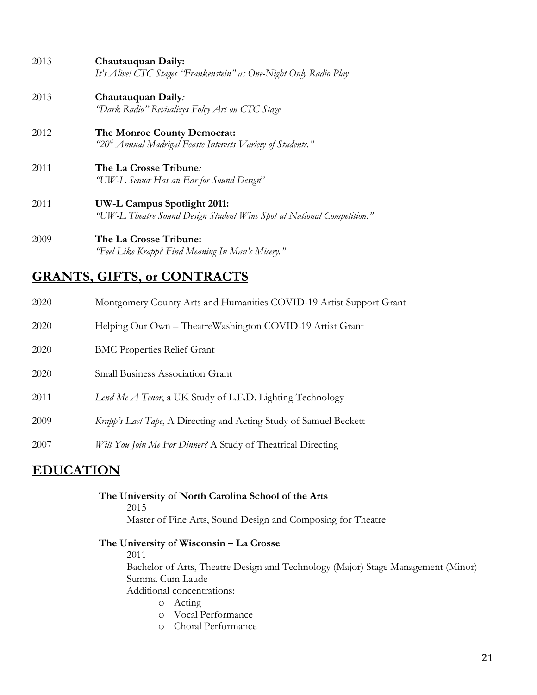| 2013 | Chautauquan Daily:<br>It's Alive! CTC Stages 'Frankenstein" as One-Night Only Radio Play                |
|------|---------------------------------------------------------------------------------------------------------|
| 2013 | Chautauquan Daily:<br>"Dark Radio" Revitalizes Foley Art on CTC Stage                                   |
| 2012 | The Monroe County Democrat:<br>"20 <sup>th</sup> Annual Madrigal Feaste Interests Variety of Students." |
| 2011 | The La Crosse Tribune:<br>"UW-L Senior Has an Ear for Sound Design"                                     |
| 2011 | UW-L Campus Spotlight 2011:<br>"UW-L Theatre Sound Design Student Wins Spot at National Competition."   |

2009 **The La Crosse Tribune:** *"Feel Like Krapp? Find Meaning In Man's Misery."*

# **GRANTS, GIFTS, or CONTRACTS**

| 2020 | Montgomery County Arts and Humanities COVID-19 Artist Support Grant      |
|------|--------------------------------------------------------------------------|
| 2020 | Helping Our Own - TheatreWashington COVID-19 Artist Grant                |
| 2020 | <b>BMC Properties Relief Grant</b>                                       |
| 2020 | <b>Small Business Association Grant</b>                                  |
| 2011 | Lend Me A Tenor, a UK Study of L.E.D. Lighting Technology                |
| 2009 | <i>Krapp's Last Tape, A Directing and Acting Study of Samuel Beckett</i> |
| 2007 | Will You Join Me For Dinner? A Study of Theatrical Directing             |
|      |                                                                          |

# **EDUCATION**

| The University of North Carolina School of the Arts         |
|-------------------------------------------------------------|
| 2015                                                        |
| Master of Fine Arts, Sound Design and Composing for Theatre |

# **The University of Wisconsin – La Crosse**

2011

Bachelor of Arts, Theatre Design and Technology (Major) Stage Management (Minor) Summa Cum Laude

Additional concentrations:

- o Acting
- o Vocal Performance
- o Choral Performance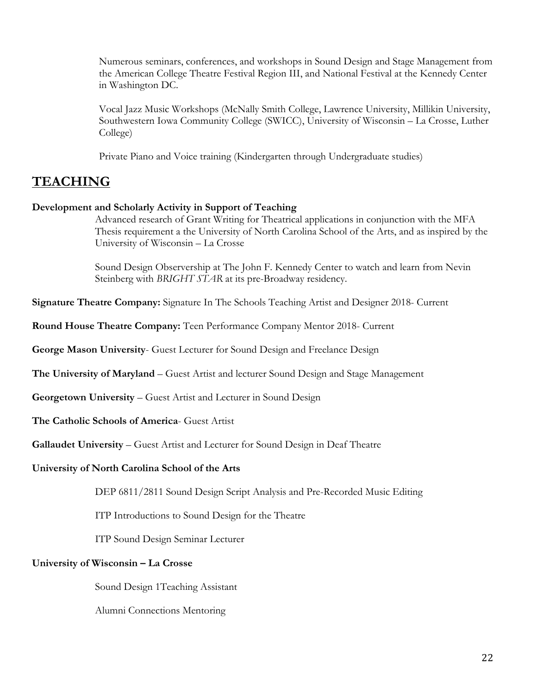Numerous seminars, conferences, and workshops in Sound Design and Stage Management from the American College Theatre Festival Region III, and National Festival at the Kennedy Center in Washington DC.

Vocal Jazz Music Workshops (McNally Smith College, Lawrence University, Millikin University, Southwestern Iowa Community College (SWICC), University of Wisconsin – La Crosse, Luther College)

Private Piano and Voice training (Kindergarten through Undergraduate studies)

# **TEACHING**

### **Development and Scholarly Activity in Support of Teaching**

Advanced research of Grant Writing for Theatrical applications in conjunction with the MFA Thesis requirement a the University of North Carolina School of the Arts, and as inspired by the University of Wisconsin – La Crosse

Sound Design Observership at The John F. Kennedy Center to watch and learn from Nevin Steinberg with *BRIGHT STAR* at its pre-Broadway residency.

**Signature Theatre Company:** Signature In The Schools Teaching Artist and Designer 2018- Current

**Round House Theatre Company:** Teen Performance Company Mentor 2018- Current

**George Mason University**- Guest Lecturer for Sound Design and Freelance Design

**The University of Maryland** – Guest Artist and lecturer Sound Design and Stage Management

**Georgetown University** – Guest Artist and Lecturer in Sound Design

**The Catholic Schools of America**- Guest Artist

**Gallaudet University** – Guest Artist and Lecturer for Sound Design in Deaf Theatre

### **University of North Carolina School of the Arts**

DEP 6811/2811 Sound Design Script Analysis and Pre-Recorded Music Editing

ITP Introductions to Sound Design for the Theatre

ITP Sound Design Seminar Lecturer

### **University of Wisconsin – La Crosse**

Sound Design 1Teaching Assistant

Alumni Connections Mentoring